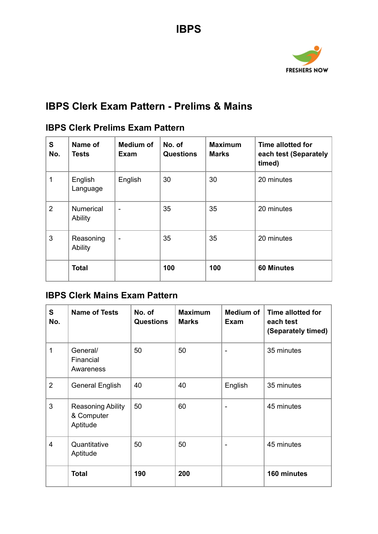

# **IBPS Clerk Exam Pattern - Prelims & Mains**

## **IBPS Clerk Prelims Exam Pattern**

| S<br>No.       | Name of<br>Tests            | <b>Medium of</b><br>Exam | No. of<br><b>Questions</b> | <b>Maximum</b><br><b>Marks</b> | Time allotted for<br>each test (Separately<br>timed) |
|----------------|-----------------------------|--------------------------|----------------------------|--------------------------------|------------------------------------------------------|
| 1              | English<br>Language         | English                  | 30                         | 30                             | 20 minutes                                           |
| $\overline{2}$ | <b>Numerical</b><br>Ability |                          | 35                         | 35                             | 20 minutes                                           |
| 3              | Reasoning<br>Ability        |                          | 35                         | 35                             | 20 minutes                                           |
|                | <b>Total</b>                |                          | 100                        | 100                            | <b>60 Minutes</b>                                    |

## **IBPS Clerk Mains Exam Pattern**

| S<br>No.       | <b>Name of Tests</b>                               | No. of<br><b>Questions</b> | <b>Maximum</b><br><b>Marks</b> | Medium of<br><b>Exam</b> | <b>Time allotted for</b><br>each test<br>(Separately timed) |
|----------------|----------------------------------------------------|----------------------------|--------------------------------|--------------------------|-------------------------------------------------------------|
| 1              | General/<br>Financial<br>Awareness                 | 50                         | 50                             |                          | 35 minutes                                                  |
| $\overline{2}$ | <b>General English</b>                             | 40                         | 40                             | English                  | 35 minutes                                                  |
| 3              | <b>Reasoning Ability</b><br>& Computer<br>Aptitude | 50                         | 60                             |                          | 45 minutes                                                  |
| 4              | Quantitative<br>Aptitude                           | 50                         | 50                             |                          | 45 minutes                                                  |
|                | <b>Total</b>                                       | 190                        | 200                            |                          | 160 minutes                                                 |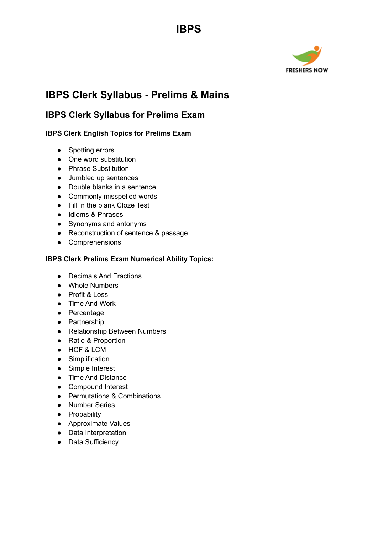# **IBPS**



# **IBPS Clerk Syllabus - Prelims & Mains**

## **IBPS Clerk Syllabus for Prelims Exam**

### **IBPS Clerk English Topics for Prelims Exam**

- Spotting errors
- One word substitution
- Phrase Substitution
- Jumbled up sentences
- Double blanks in a sentence
- Commonly misspelled words
- Fill in the blank Cloze Test
- Idioms & Phrases
- Synonyms and antonyms
- Reconstruction of sentence & passage
- Comprehensions

### **IBPS Clerk Prelims Exam Numerical Ability Topics:**

- Decimals And Fractions
- Whole Numbers
- Profit & Loss
- Time And Work
- Percentage
- Partnership
- Relationship Between Numbers
- Ratio & Proportion
- HCF & LCM
- Simplification
- Simple Interest
- Time And Distance
- Compound Interest
- Permutations & Combinations
- Number Series
- **•** Probability
- Approximate Values
- Data Interpretation
- Data Sufficiency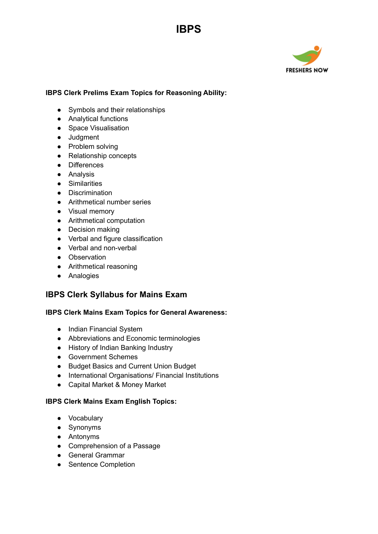

#### **IBPS Clerk Prelims Exam Topics for Reasoning Ability:**

**IBPS**

- Symbols and their relationships
- Analytical functions
- Space Visualisation
- Judgment
- Problem solving
- Relationship concepts
- Differences
- Analysis
- Similarities
- Discrimination
- Arithmetical number series
- Visual memory
- Arithmetical computation
- Decision making
- Verbal and figure classification
- Verbal and non-verbal
- Observation
- Arithmetical reasoning
- Analogies

### **IBPS Clerk Syllabus for Mains Exam**

#### **IBPS Clerk Mains Exam Topics for General Awareness:**

- Indian Financial System
- Abbreviations and Economic terminologies
- History of Indian Banking Industry
- Government Schemes
- Budget Basics and Current Union Budget
- International Organisations/ Financial Institutions
- Capital Market & Money Market

#### **IBPS Clerk Mains Exam English Topics:**

- Vocabulary
- Synonyms
- Antonyms
- Comprehension of a Passage
- General Grammar
- Sentence Completion